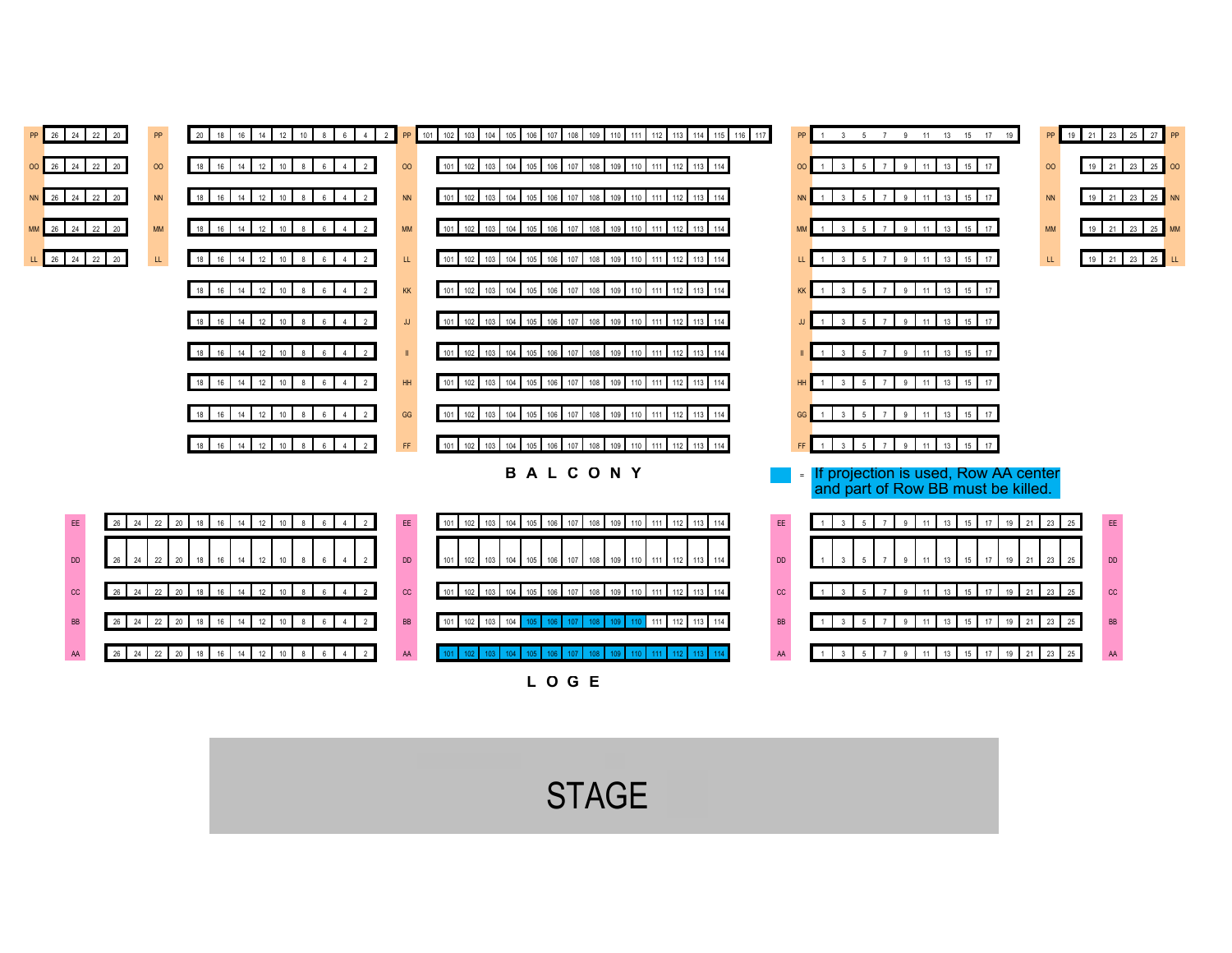

**STAGE**